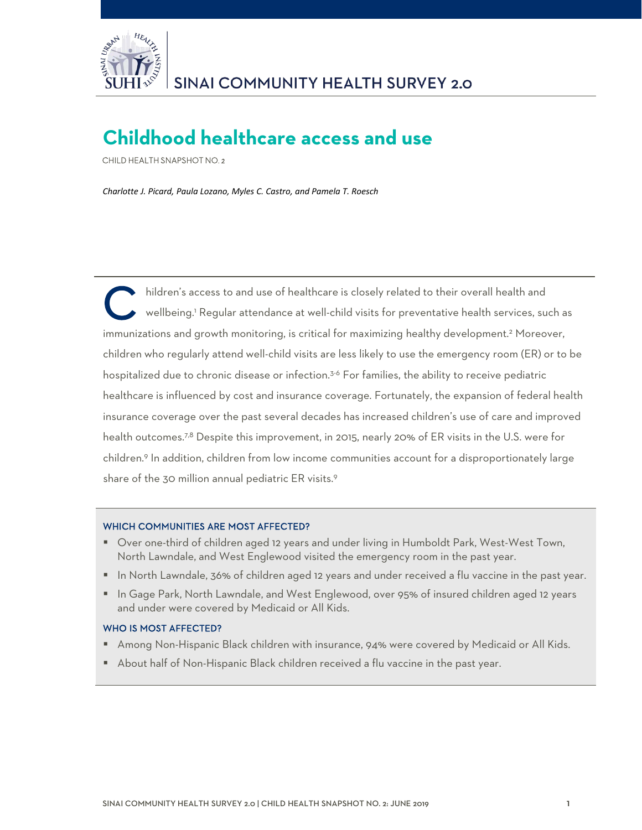

# **Childhood healthcare access and use**

CHILD HEALTH SNAPSHOT NO. 2

*Charlotte J. Picard, Paula Lozano, Myles C. Castro, and Pamela T. Roesch*

 hildren's access to and use of healthcare is closely related to their overall health and wellbeing.1 Regular attendance at well-child visits for preventative health services, such as immunizations and growth monitoring, is critical for maximizing healthy development.<sup>2</sup> Moreover, children who regularly attend well-child visits are less likely to use the emergency room (ER) or to be hospitalized due to chronic disease or infection.<sup>3-6</sup> For families, the ability to receive pediatric healthcare is influenced by cost and insurance coverage. Fortunately, the expansion of federal health insurance coverage over the past several decades has increased children's use of care and improved health outcomes.<sup>7,8</sup> Despite this improvement, in 2015, nearly 20% of ER visits in the U.S. were for children.9 In addition, children from low income communities account for a disproportionately large share of the 30 million annual pediatric ER visits.<sup>9</sup> C<sup>\*</sup>

#### WHICH COMMUNITIES ARE MOST AFFECTED?

- Over one-third of children aged 12 years and under living in Humboldt Park, West-West Town, North Lawndale, and West Englewood visited the emergency room in the past year.
- In North Lawndale, 36% of children aged 12 years and under received a flu vaccine in the past year.
- In Gage Park, North Lawndale, and West Englewood, over 95% of insured children aged 12 years and under were covered by Medicaid or All Kids.

#### WHO IS MOST AFFECTED?

- **Among Non-Hispanic Black children with insurance, 94% were covered by Medicaid or All Kids.**
- About half of Non-Hispanic Black children received a flu vaccine in the past year.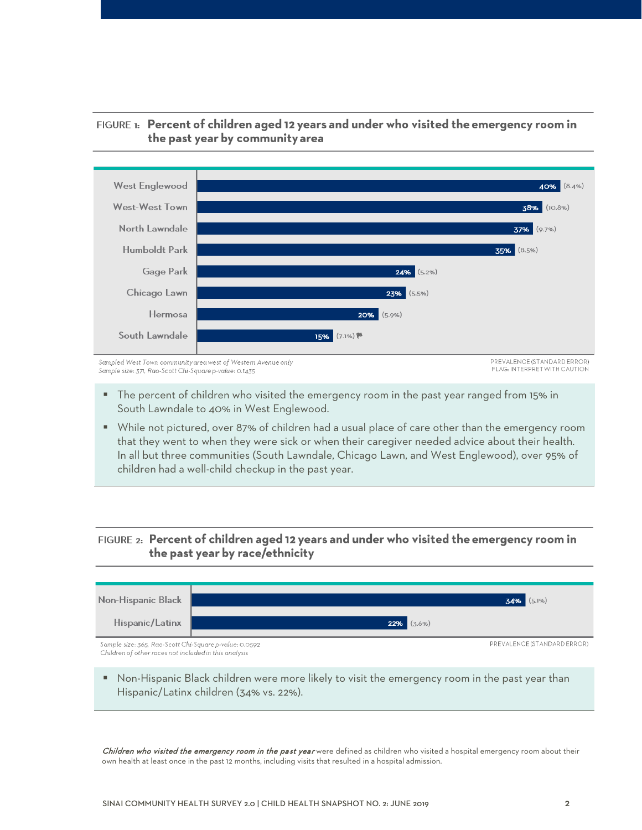

# FIGURE 1: Percent of children aged 12 years and under who visited the emergency room in the past year by community area

- The percent of children who visited the emergency room in the past year ranged from 15% in South Lawndale to 40% in West Englewood.
- While not pictured, over 87% of children had a usual place of care other than the emergency room that they went to when they were sick or when their caregiver needed advice about their health. In all but three communities (South Lawndale, Chicago Lawn, and West Englewood), over 95% of children had a well-child checkup in the past year.

# FIGURE 2: Percent of children aged 12 years and under who visited the emergency room in the past year by race/ethnicity



**• Non-Hispanic Black children were more likely to visit the emergency room in the past year than** Hispanic/Latinx children (34% vs. 22%).

Children who visited the emergency room in the past year were defined as children who visited a hospital emergency room about their own health at least once in the past 12 months, including visits that resulted in a hospital admission.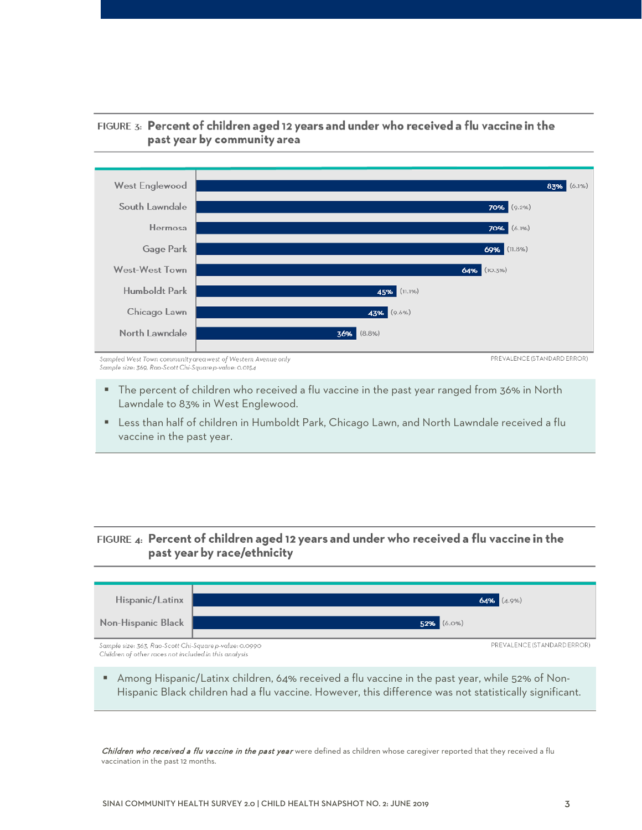

# FIGURE 3: Percent of children aged 12 years and under who received a flu vaccine in the past year by community area

 The percent of children who received a flu vaccine in the past year ranged from 36% in North Lawndale to 83% in West Englewood.

 Less than half of children in Humboldt Park, Chicago Lawn, and North Lawndale received a flu vaccine in the past year.

# FIGURE 4: Percent of children aged 12 years and under who received a flu vaccine in the past year by race/ethnicity



 Among Hispanic/Latinx children, 64% received a flu vaccine in the past year, while 52% of Non-Hispanic Black children had a flu vaccine. However, this difference was not statistically significant.

Children who received a flu vaccine in the past year were defined as children whose caregiver reported that they received a flu vaccination in the past 12 months.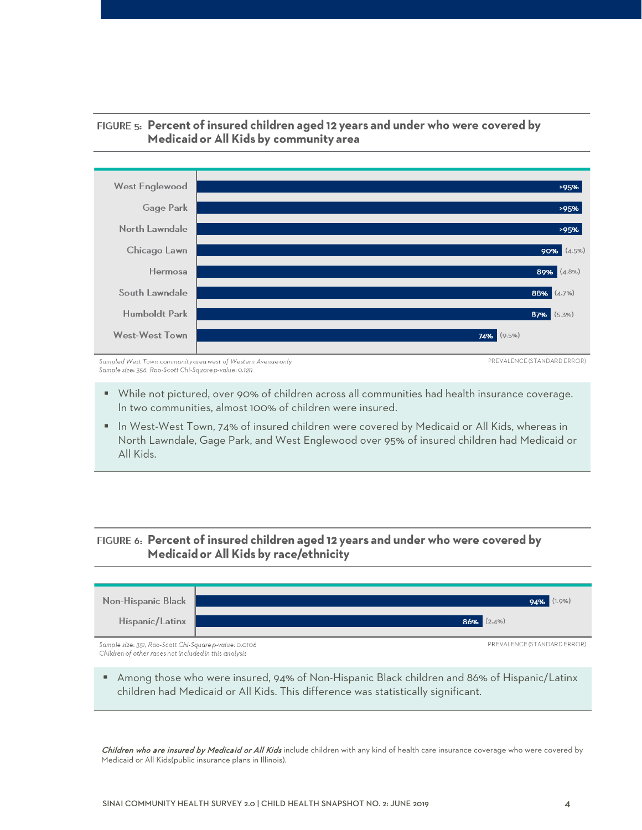

# FIGURE 5: Percent of insured children aged 12 years and under who were covered by Medicaid or All Kids by community area

Sampled West Town community area west of Western Avenue only Sample size: 356, Rao-Scott Chi-Square p-value: 0.1211

PREVALENCE (STANDARD ERROR)

- While not pictured, over 90% of children across all communities had health insurance coverage. In two communities, almost 100% of children were insured.
- In West-West Town, 74% of insured children were covered by Medicaid or All Kids, whereas in North Lawndale, Gage Park, and West Englewood over 95% of insured children had Medicaid or All Kids.

# FIGURE 6: Percent of insured children aged 12 years and under who were covered by Medicaid or All Kids by race/ethnicity



 Among those who were insured, 94% of Non-Hispanic Black children and 86% of Hispanic/Latinx children had Medicaid or All Kids. This difference was statistically significant.

Children who are insured by Medicaid or All Kids include children with any kind of health care insurance coverage who were covered by Medicaid or All Kids(public insurance plans in Illinois).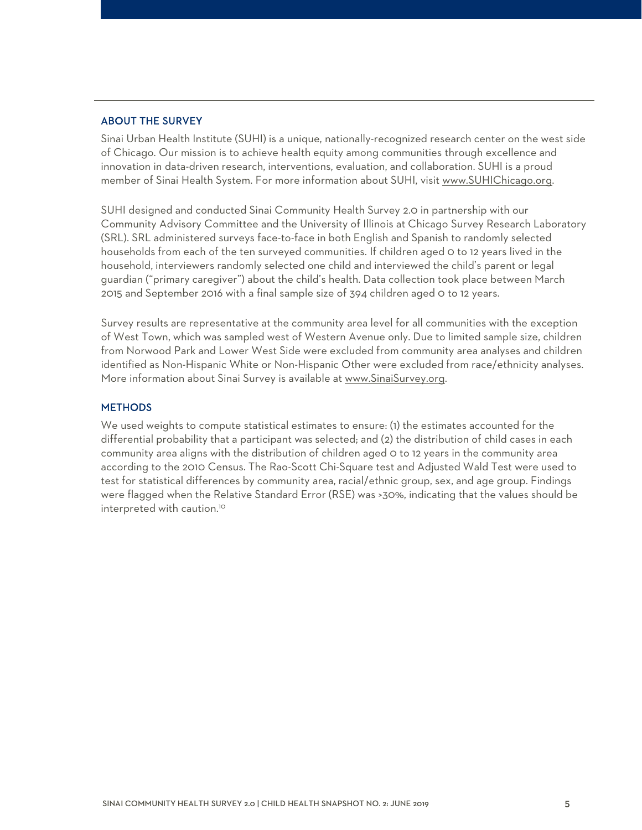#### ABOUT THE SURVEY

Sinai Urban Health Institute (SUHI) is a unique, nationally-recognized research center on the west side of Chicago. Our mission is to achieve health equity among communities through excellence and innovation in data-driven research, interventions, evaluation, and collaboration. SUHI is a proud member of Sinai Health System. For more information about SUHI, visit [www.SUHIChicago.org.](http://www.suhichicago.org/)

SUHI designed and conducted Sinai Community Health Survey 2.0 in partnership with our Community Advisory Committee and the University of Illinois at Chicago Survey Research Laboratory (SRL). SRL administered surveys face-to-face in both English and Spanish to randomly selected households from each of the ten surveyed communities. If children aged 0 to 12 years lived in the household, interviewers randomly selected one child and interviewed the child's parent or legal guardian ("primary caregiver") about the child's health. Data collection took place between March 2015 and September 2016 with a final sample size of 394 children aged 0 to 12 years.

Survey results are representative at the community area level for all communities with the exception of West Town, which was sampled west of Western Avenue only. Due to limited sample size, children from Norwood Park [and Lower West Side](http://www.sinaisurvey.org/) were excluded from community area analyses and children identified as Non-Hispanic White or Non-Hispanic Other were excluded from race/ethnicity analyses. More information about Sinai Survey is available at www.SinaiSurvey.org.

#### **METHODS**

We used weights to compute statistical estimates to ensure: (1) the estimates accounted for the differential probability that a participant was selected; and (2) the distribution of child cases in each community area aligns with the distribution of children aged 0 to 12 years in the community area according to the 2010 Census. The Rao-Scott Chi-Square test and Adjusted Wald Test were used to test for statistical differences by community area, racial/ethnic group, sex, and age group. Findings were flagged when the Relative Standard Error (RSE) was >30%, indicating that the values should be interpreted with caution.<sup>10</sup>